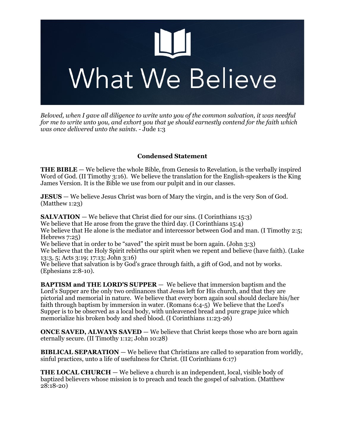

*Beloved, when I gave all diligence to write unto you of the common salvation, it was needful for me to write unto you, and exhort you that ye should earnestly contend for the faith which was once delivered unto the saints*. - Jude 1:3

# **Condensed Statement**

**THE BIBLE** — We believe the whole Bible, from Genesis to Revelation, is the verbally inspired Word of God. (II Timothy 3:16). We believe the translation for the English-speakers is the King James Version. It is the Bible we use from our pulpit and in our classes.

**JESUS** — We believe Jesus Christ was born of Mary the virgin, and is the very Son of God. (Matthew 1:23)

**SALVATION** — We believe that Christ died for our sins. (I Corinthians 15:3) We believe that He arose from the grave the third day. (I Corinthians 15:4) We believe that He alone is the mediator and intercessor between God and man. (I Timothy 2:5; Hebrews 7:25) We believe that in order to be "saved" the spirit must be born again. (John 3:3)

We believe that the Holy Spirit rebirths our spirit when we repent and believe (have faith). (Luke 13:3, 5; Acts 3:19; 17:13; John 3:16)

We believe that salvation is by God's grace through faith, a gift of God, and not by works. (Ephesians 2:8-10).

**BAPTISM and THE LORD'S SUPPER** — We believe that immersion baptism and the Lord's Supper are the only two ordinances that Jesus left for His church, and that they are pictorial and memorial in nature. We believe that every born again soul should declare his/her faith through baptism by immersion in water. (Romans 6:4-5) We believe that the Lord's Supper is to be observed as a local body, with unleavened bread and pure grape juice which memorialize his broken body and shed blood. (I Corinthians 11:23-26)

**ONCE SAVED, ALWAYS SAVED** — We believe that Christ keeps those who are born again eternally secure. (II Timothy 1:12; John 10:28)

**BIBLICAL SEPARATION** — We believe that Christians are called to separation from worldly, sinful practices, unto a life of usefulness for Christ. (II Corinthians 6:17)

**THE LOCAL CHURCH** — We believe a church is an independent, local, visible body of baptized believers whose mission is to preach and teach the gospel of salvation. (Matthew 28:18-20)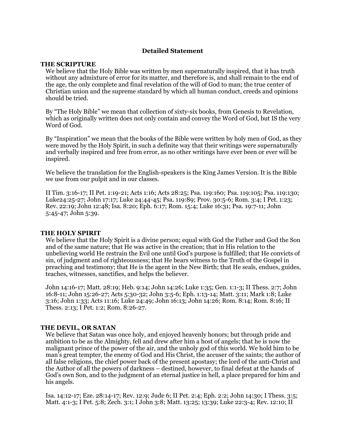# **Detailed Statement**

#### **THE SCRIPTURE**

We believe that the Holy Bible was written by men supernaturally inspired, that it has truth without any admixture of error for its matter, and therefore is, and shall remain to the end of the age, the only complete and final revelation of the will of God to man; the true center of Christian union and the supreme standard by which all human conduct, creeds and opinions should be tried.

By "The Holy Bible" we mean that collection of sixty-six books, from Genesis to Revelation, which as originally written does not only contain and convey the Word of God, but IS the very Word of God.

By "Inspiration" we mean that the books of the Bible were written by holy men of God, as they were moved by the Holy Spirit, in such a definite way that their writings were supernaturally and verbally inspired and free from error, as no other writings have ever been or ever will be inspired.

We believe the translation for the English-speakers is the King James Version. It is the Bible we use from our pulpit and in our classes.

II Tim. 3:16-17; II Pet. 1:19-21; Acts 1:16; Acts 28:25; Psa. 119:160; Psa. 119:105; Psa. 119:130; Luke24:25-27; John 17:17; Luke 24:44-45; Psa. 119:89; Prov. 30:5-6; Rom. 3:4; I Pet. 1:23; Rev. 22:19; John 12:48; Isa. 8:20; Eph. 6:17; Rom. 15:4; Luke 16:31; Psa. 19:7-11; John 5:45-47; John 5:39.

## **THE HOLY SPIRIT**

We believe that the Holy Spirit is a divine person; equal with God the Father and God the Son and of the same nature; that He was active in the creation; that in His relation to the unbelieving world He restrain the Evil one until God's purpose is fulfilled; that He convicts of sin, of judgment and of righteousness; that He bears witness to the Truth of the Gospel in preaching and testimony; that He is the agent in the New Birth; that He seals, endues, guides, teaches, witnesses, sanctifies, and helps the believer.

John 14:16-17; Matt. 28:19; Heb. 9:14; John 14:26; Luke 1:35; Gen. 1:1-3; II Thess. 2:7; John 16:8-11; John 15:26-27; Acts 5:30-32; John 3:5-6; Eph. 1:13-14; Matt. 3:11; Mark 1:8; Luke 3:16; John 1:33; Acts 11:16; Luke 24:49; John 16:13; John 14:26; Rom. 8:14; Rom. 8:16; II Thess. 2:13; I Pet. 1:2; Rom. 8:26-27.

## **THE DEVIL, OR SATAN**

We believe that Satan was once holy, and enjoyed heavenly honors; but through pride and ambition to be as the Almighty, fell and drew after him a host of angels; that he is now the malignant prince of the power of the air, and the unholy god of this world. We hold him to be man's great tempter, the enemy of God and His Christ, the accuser of the saints; the author of all false religions, the chief power back of the present apostasy; the lord of the anti-Christ and the Author of all the powers of darkness – destined, however, to final defeat at the hands of God's own Son, and to the judgment of an eternal justice in hell, a place prepared for him and his angels.

Isa. 14:12-17; Eze. 28:14-17; Rev. 12:9; Jude 6; II Pet. 2:4; Eph. 2:2; John 14:30; I Thess. 3:5; Matt. 4:1-3; I Pet. 5:8; Zech. 3:1; I John 3:8; Matt. 13:25; 13:39; Luke 22:3-4; Rev. 12:10; II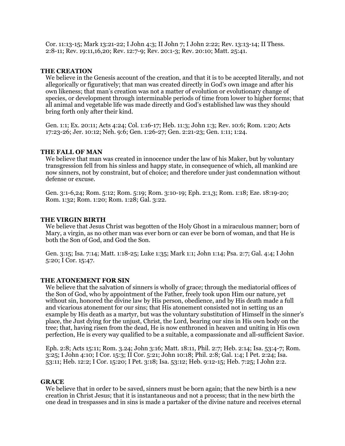Cor. 11:13-15; Mark 13:21-22; I John 4:3; II John 7; I John 2:22; Rev. 13:13-14; II Thess. 2:8-11; Rev. 19:11,16,20; Rev. 12:7-9; Rev. 20:1-3; Rev. 20:10; Matt. 25:41.

#### **THE CREATION**

We believe in the Genesis account of the creation, and that it is to be accepted literally, and not allegorically or figuratively; that man was created directly in God's own image and after his own likeness; that man's creation was not a matter of evolution or evolutionary change of species, or development through interminable periods of time from lower to higher forms; that all animal and vegetable life was made directly and God's established law was they should bring forth only after their kind.

Gen. 1:1; Ex. 20:11; Acts 4:24; Col. 1:16-17; Heb. 11:3; John 1:3; Rev. 10:6; Rom. 1:20; Acts 17:23-26; Jer. 10:12; Neh. 9:6; Gen. 1:26-27; Gen. 2:21-23; Gen. 1:11; 1:24.

#### **THE FALL OF MAN**

We believe that man was created in innocence under the law of his Maker, but by voluntary transgression fell from his sinless and happy state, in consequence of which, all mankind are now sinners, not by constraint, but of choice; and therefore under just condemnation without defense or excuse.

Gen. 3:1-6,24; Rom. 5:12; Rom. 5:19; Rom. 3:10-19; Eph. 2:1,3; Rom. 1:18; Eze. 18:19-20; Rom. 1:32; Rom. 1:20; Rom. 1:28; Gal. 3:22.

#### **THE VIRGIN BIRTH**

We believe that Jesus Christ was begotten of the Holy Ghost in a miraculous manner; born of Mary, a virgin, as no other man was ever born or can ever be born of woman, and that He is both the Son of God, and God the Son.

Gen. 3:15; Isa. 7:14; Matt. 1:18-25; Luke 1:35; Mark 1:1; John 1:14; Psa. 2:7; Gal. 4:4; I John 5:20; I Cor. 15:47.

## **THE ATONEMENT FOR SIN**

We believe that the salvation of sinners is wholly of grace; through the mediatorial offices of the Son of God, who by appointment of the Father, freely took upon Him our nature, yet without sin, honored the divine law by His person, obedience, and by His death made a full and vicarious atonement for our sins; that His atonement consisted not in setting us an example by His death as a martyr, but was the voluntary substitution of Himself in the sinner's place, the Just dying for the unjust, Christ, the Lord, bearing our sins in His own body on the tree; that, having risen from the dead, He is now enthroned in heaven and uniting in His own perfection, He is every way qualified to be a suitable, a compassionate and all-sufficient Savior.

Eph. 2:8; Acts 15:11; Rom. 3.24; John 3:16; Matt. 18:11, Phil. 2:7; Heb. 2:14; Isa. 53:4-7; Rom. 3:25; I John 4:10; I Cor. 15:3; II Cor. 5:21; John 10:18; Phil. 2:8; Gal. 1:4; I Pet. 2:24; Isa. 53:11; Heb. 12:2; I Cor. 15:20; I Pet. 3:18; Isa. 53:12; Heb. 9:12-15; Heb. 7:25; I John 2:2.

#### **GRACE**

We believe that in order to be saved, sinners must be born again; that the new birth is a new creation in Christ Jesus; that it is instantaneous and not a process; that in the new birth the one dead in trespasses and in sins is made a partaker of the divine nature and receives eternal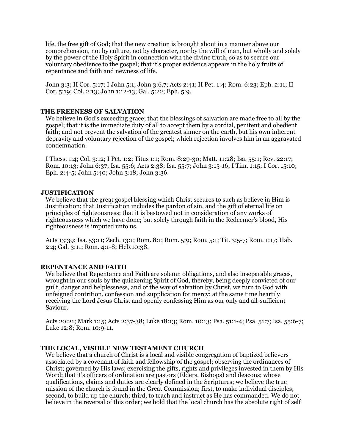life, the free gift of God; that the new creation is brought about in a manner above our comprehension, not by culture, not by character, nor by the will of man, but wholly and solely by the power of the Holy Spirit in connection with the divine truth, so as to secure our voluntary obedience to the gospel; that it's proper evidence appears in the holy fruits of repentance and faith and newness of life.

John 3:3; II Cor. 5:17; I John 5:1; John 3:6,7; Acts 2:41; II Pet. 1:4; Rom. 6:23; Eph. 2:11; II Cor. 5:19; Col. 2:13; John 1:12-13; Gal. 5:22; Eph. 5:9.

### **THE FREENESS OF SALVATION**

We believe in God's exceeding grace; that the blessings of salvation are made free to all by the gospel; that it is the immediate duty of all to accept them by a cordial, penitent and obedient faith; and not prevent the salvation of the greatest sinner on the earth, but his own inherent depravity and voluntary rejection of the gospel; which rejection involves him in an aggravated condemnation.

I Thess. 1:4; Col. 3:12; I Pet. 1:2; Titus 1:1; Rom. 8:29-30; Matt. 11:28; Isa. 55:1; Rev. 22:17; Rom. 10:13; John 6:37; Isa. 55:6; Acts 2:38; Isa. 55:7; John 3:15-16; I Tim. 1:15; I Cor. 15:10; Eph. 2:4-5; John 5:40; John 3:18; John 3:36.

#### **JUSTIFICATION**

We believe that the great gospel blessing which Christ secures to such as believe in Him is Justification; that Justification includes the pardon of sin, and the gift of eternal life on principles of righteousness; that it is bestowed not in consideration of any works of righteousness which we have done; but solely through faith in the Redeemer's blood, His righteousness is imputed unto us.

Acts 13:39; Isa. 53:11; Zech. 13:1; Rom. 8:1; Rom. 5:9; Rom. 5:1; Tit. 3:5-7; Rom. 1:17; Hab. 2:4; Gal. 3:11; Rom. 4:1-8; Heb.10:38.

### **REPENTANCE AND FAITH**

We believe that Repentance and Faith are solemn obligations, and also inseparable graces, wrought in our souls by the quickening Spirit of God, thereby, being deeply convicted of our guilt, danger and helplessness, and of the way of salvation by Christ, we turn to God with unfeigned contrition, confession and supplication for mercy; at the same time heartily receiving the Lord Jesus Christ and openly confessing Him as our only and all-sufficient Saviour.

Acts 20:21; Mark 1:15; Acts 2:37-38; Luke 18:13; Rom. 10:13; Psa. 51:1-4; Psa. 51:7; Isa. 55:6-7; Luke 12:8; Rom. 10:9-11.

#### **THE LOCAL, VISIBLE NEW TESTAMENT CHURCH**

We believe that a church of Christ is a local and visible congregation of baptized believers associated by a covenant of faith and fellowship of the gospel; observing the ordinances of Christ; governed by His laws; exercising the gifts, rights and privileges invested in them by His Word; that it's officers of ordination are pastors (Elders, Bishops) and deacons; whose qualifications, claims and duties are clearly defined in the Scriptures; we believe the true mission of the church is found in the Great Commission; first, to make individual disciples; second, to build up the church; third, to teach and instruct as He has commanded. We do not believe in the reversal of this order; we hold that the local church has the absolute right of self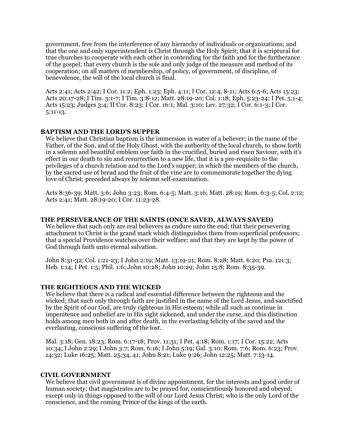government, free from the interference of any hierarchy of individuals or organizations; and that the one and only superintendent is Christ through the Holy Spirit; that it is scriptural for true churches to cooperate with each other in contending for the faith and for the furtherance of the gospel; that every church is the sole and only judge of the measure and method of its cooperation; on all matters of membership, of policy, of government, of discipline, of benevolence, the will of the local church is final.

Acts 2:41; Acts 2:42; I Cor. 11:2; Eph. 1:23; Eph. 4:11; I Cor. 12:4, 8-11; Acts 6:5-6; Acts 15:23; Acts 20:17-28; I Tim. 3:1-7; I Tim. 3:8-12; Matt. 28:19-20; Col. 1:18; Eph. 5:23-24; I Pet. 5:1-4; Acts 15:23; Judges 3:4; II Cor. 8:23; I Cor. 16:1; Mal. 3:10; Lev. 27:32; I Cor. 6:1-3; I Cor. 5:11-13.

## **BAPTISM AND THE LORD'S SUPPER**

We believe that Christian baptism is the immersion in water of a believer; in the name of the Father, of the Son, and of the Holy Ghost, with the authority of the local church, to show forth in a solemn and beautiful emblem our faith in the crucified, buried and risen Saviour, with it's effect in our death to sin and resurrection to a new life, that it is a pre-requisite to the privileges of a church relation and to the Lord's supper; in which the members of the church, by the sacred use of bread and the fruit of the vine are to commemorate together the dying love of Christ; preceded always by solemn self-examination.

Acts 8:36-39; Matt. 3:6; John 3:23; Rom. 6:4-5; Matt. 3:16; Matt. 28:19; Rom. 6:3-5; Col. 2:12; Acts 2:41; Matt. 28:19-20; I Cor. 11:23-28.

### **THE PERSEVERANCE OF THE SAINTS (ONCE SAVED, ALWAYS SAVED)**

We believe that such only are real believers as endure unto the end; that their persevering attachment to Christ is the grand mark which distinguishes them from superficial professors; that a special Providence watches over their welfare; and that they are kept by the power of God through faith unto eternal salvation.

John 8:31-32; Col. 1:21-23; I John 2:19; Matt. 13:19-21; Rom. 8:28; Matt. 6:20; Psa. 121:3; Heb. 1:14; I Pet. 1:5; Phil. 1:6; John 10:28; John 10:29; John 15:8; Rom. 8:35-39.

#### **THE RIGHTEOUS AND THE WICKED**

We believe that there is a radical and essential difference between the righteous and the wicked; that such only through faith are justified in the name of the Lord Jesus, and sanctified by the Spirit of our God, are truly righteous in His esteem; while all such as continue in impenitence and unbelief are in His sight sickened, and under the curse, and this distinction holds among men both in and after death, in the everlasting felicity of the saved and the everlasting, conscious suffering of the lost.

Mal. 3:18; Gen. 18:23; Rom. 6:17-18; Prov. 11:31; I Pet. 4:18; Rom. 1:17; I Cor. 15:22; Acts 10:34; I John 2:29; I John 3:7; Rom. 6:16; I John 5:19; Gal. 3:10; Rom. 7:6; Rom. 6:23; Prov. 14:32; Luke 16:25; Matt. 25:34, 41; John 8:21; Luke 9:26; John 12:25; Matt. 7:13-14.

#### **CIVIL GOVERNMENT**

We believe that civil government is of divine appointment, for the interests and good order of human society; that magistrates are to be prayed for, conscientiously honored and obeyed; except only in things opposed to the will of our Lord Jesus Christ; who is the only Lord of the conscience, and the coming Prince of the kings of the earth.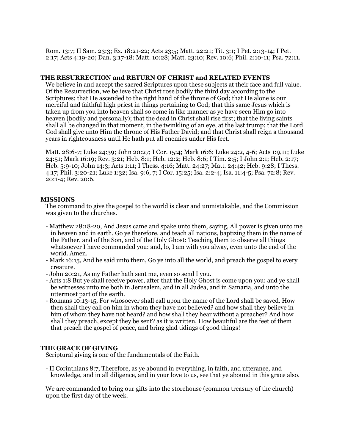Rom. 13:7; II Sam. 23:3; Ex. 18:21-22; Acts 23:5; Matt. 22:21; Tit. 3:1; I Pet. 2:13-14; I Pet. 2:17; Acts 4:19-20; Dan. 3:17-18: Matt. 10:28; Matt. 23:10; Rev. 10:6; Phil. 2:10-11; Psa. 72:11.

### **THE RESURRECTION and RETURN OF CHRIST and RELATED EVENTS**

We believe in and accept the sacred Scriptures upon these subjects at their face and full value. Of the Resurrection, we believe that Christ rose bodily the third day according to the Scriptures; that He ascended to the right hand of the throne of God; that He alone is our merciful and faithful high priest in things pertaining to God; that this same Jesus which is taken up from you into heaven shall so come in like manner as ye have seen Him go into heaven (bodily and personally); that the dead in Christ shall rise first; that the living saints shall all be changed in that moment, in the twinkling of an eye, at the last trump; that the Lord God shall give unto Him the throne of His Father David; and that Christ shall reign a thousand years in righteousness until He hath put all enemies under His feet.

Matt. 28:6-7; Luke 24:39; John 20:27; I Cor. 15:4; Mark 16:6; Luke 24:2, 4-6; Acts 1:9,11; Luke 24:51; Mark 16:19; Rev. 3:21; Heb. 8:1; Heb. 12:2; Heb. 8:6; I Tim. 2:5; I John 2:1; Heb. 2:17; Heb. 5:9-10; John 14:3; Acts 1:11; I Thess. 4:16; Matt. 24:27; Matt. 24:42; Heb. 9:28; I Thess. 4:17; Phil. 3:20-21; Luke 1:32; Isa. 9:6, 7; I Cor. 15:25; Isa. 2:2-4; Isa. 11:4-5; Psa. 72:8; Rev. 20:1-4; Rev. 20:6.

### **MISSIONS**

The command to give the gospel to the world is clear and unmistakable, and the Commission was given to the churches.

- Matthew 28:18-20, And Jesus came and spake unto them, saying, All power is given unto me in heaven and in earth. Go ye therefore, and teach all nations, baptizing them in the name of the Father, and of the Son, and of the Holy Ghost: Teaching them to observe all things whatsoever I have commanded you: and, lo, I am with you alway, even unto the end of the world. Amen.
- Mark 16:15, And he said unto them, Go ye into all the world, and preach the gospel to every creature.
- John 20:21, As my Father hath sent me, even so send I you.
- Acts 1:8 But ye shall receive power, after that the Holy Ghost is come upon you: and ye shall be witnesses unto me both in Jerusalem, and in all Judea, and in Samaria, and unto the uttermost part of the earth.
- Romans 10:13-15, For whosoever shall call upon the name of the Lord shall be saved. How then shall they call on him in whom they have not believed? and how shall they believe in him of whom they have not heard? and how shall they hear without a preacher? And how shall they preach, except they be sent? as it is written, How beautiful are the feet of them that preach the gospel of peace, and bring glad tidings of good things!

## **THE GRACE OF GIVING**

Scriptural giving is one of the fundamentals of the Faith.

- II Corinthians 8:7, Therefore, as ye abound in everything, in faith, and utterance, and knowledge, and in all diligence, and in your love to us, see that ye abound in this grace also.

We are commanded to bring our gifts into the storehouse (common treasury of the church) upon the first day of the week.